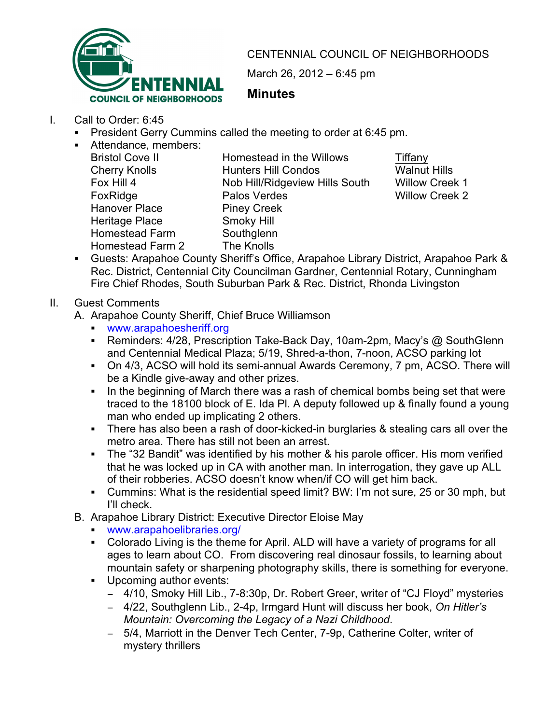

CENTENNIAL COUNCIL OF NEIGHBORHOODS

March 26, 2012 – 6:45 pm

## **Minutes**

- I. Call to Order: 6:45
	- ! President Gerry Cummins called the meeting to order at 6:45 pm.
	- **EXEC** Attendance, members:

Hanover Place Piney Creek Heritage Place Smoky Hill<br>Homestead Farm Southglenn Homestead Farm Homestead Farm 2 The Knolls

Bristol Cove II **Homestead in the Willows** Tiffany Cherry Knolls **Hunters Hill Condos** Walnut Hills Fox Hill 4 Nob Hill/Ridgeview Hills South Willow Creek 1 FoxRidge Palos Verdes Palos Verdes Willow Creek 2

! Guests: Arapahoe County Sheriff's Office, Arapahoe Library District, Arapahoe Park & Rec. District, Centennial City Councilman Gardner, Centennial Rotary, Cunningham Fire Chief Rhodes, South Suburban Park & Rec. District, Rhonda Livingston

## II. Guest Comments

- A. Arapahoe County Sheriff, Chief Bruce Williamson
	- ! www.arapahoesheriff.org
	- Reminders: 4/28, Prescription Take-Back Day, 10am-2pm, Macy's @ SouthGlenn and Centennial Medical Plaza; 5/19, Shred-a-thon, 7-noon, ACSO parking lot
	- ! On 4/3, ACSO will hold its semi-annual Awards Ceremony, 7 pm, ACSO. There will be a Kindle give-away and other prizes.
	- ! In the beginning of March there was a rash of chemical bombs being set that were traced to the 18100 block of E. Ida Pl. A deputy followed up & finally found a young man who ended up implicating 2 others.
	- ! There has also been a rash of door-kicked-in burglaries & stealing cars all over the metro area. There has still not been an arrest.
	- The "32 Bandit" was identified by his mother & his parole officer. His mom verified that he was locked up in CA with another man. In interrogation, they gave up ALL of their robberies. ACSO doesn't know when/if CO will get him back.
	- ! Cummins: What is the residential speed limit? BW: I'm not sure, 25 or 30 mph, but I'll check.
- B. Arapahoe Library District: Executive Director Eloise May
	- ! www.arapahoelibraries.org/
	- ! Colorado Living is the theme for April. ALD will have a variety of programs for all ages to learn about CO. From discovering real dinosaur fossils, to learning about mountain safety or sharpening photography skills, there is something for everyone.
	- ! Upcoming author events:
		- 4/10, Smoky Hill Lib., 7-8:30p, Dr. Robert Greer, writer of "CJ Floyd" mysteries
		- ! 4/22, Southglenn Lib., 2-4p, Irmgard Hunt will discuss her book, *On Hitler's Mountain: Overcoming the Legacy of a Nazi Childhood*.
		- 5/4, Marriott in the Denver Tech Center, 7-9p, Catherine Colter, writer of mystery thrillers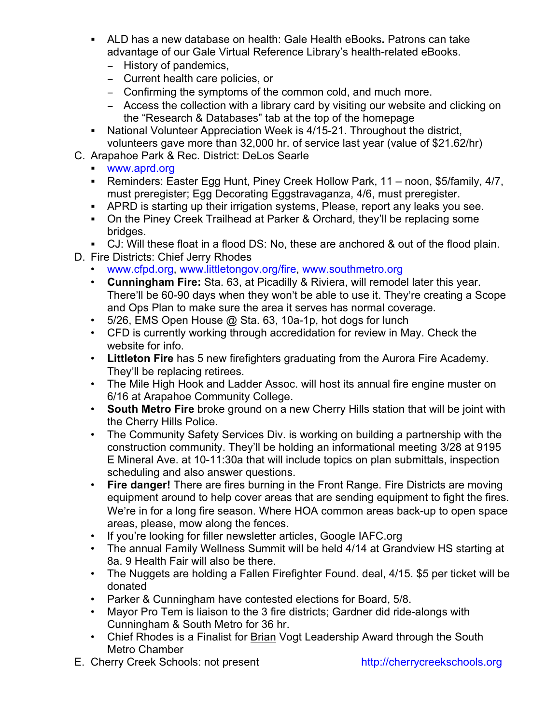- ! ALD has a new database on health: Gale Health eBooks**.** Patrons can take advantage of our Gale Virtual Reference Library's health-related eBooks.
	- History of pandemics,
	- Current health care policies, or
	- Confirming the symptoms of the common cold, and much more.
	- Access the collection with a library card by visiting our website and clicking on the "Research & Databases" tab at the top of the homepage
- ! National Volunteer Appreciation Week is 4/15-21. Throughout the district, volunteers gave more than 32,000 hr. of service last year (value of \$21.62/hr)
- C. Arapahoe Park & Rec. District: DeLos Searle
	- ! www.aprd.org
	- ! Reminders: Easter Egg Hunt, Piney Creek Hollow Park, 11 noon, \$5/family, 4/7, must preregister; Egg Decorating Eggstravaganza, 4/6, must preregister.
	- ! APRD is starting up their irrigation systems, Please, report any leaks you see.
	- ! On the Piney Creek Trailhead at Parker & Orchard, they'll be replacing some bridges.
	- ! CJ: Will these float in a flood DS: No, these are anchored & out of the flood plain.
- D. Fire Districts: Chief Jerry Rhodes
	- www.cfpd.org, www.littletongov.org/fire, www.southmetro.org
	- **Cunningham Fire:** Sta. 63, at Picadilly & Riviera, will remodel later this year. There'll be 60-90 days when they won't be able to use it. They're creating a Scope and Ops Plan to make sure the area it serves has normal coverage.
	- 5/26, EMS Open House @ Sta. 63, 10a-1p, hot dogs for lunch
	- CFD is currently working through accredidation for review in May. Check the website for info.
	- **Littleton Fire** has 5 new firefighters graduating from the Aurora Fire Academy. They'll be replacing retirees.
	- The Mile High Hook and Ladder Assoc. will host its annual fire engine muster on 6/16 at Arapahoe Community College.
	- **South Metro Fire** broke ground on a new Cherry Hills station that will be joint with the Cherry Hills Police.
	- The Community Safety Services Div. is working on building a partnership with the construction community. They'll be holding an informational meeting 3/28 at 9195 E Mineral Ave. at 10-11:30a that will include topics on plan submittals, inspection scheduling and also answer questions.
	- **Fire danger!** There are fires burning in the Front Range. Fire Districts are moving equipment around to help cover areas that are sending equipment to fight the fires. We're in for a long fire season. Where HOA common areas back-up to open space areas, please, mow along the fences.
	- If you're looking for filler newsletter articles, Google IAFC.org
	- The annual Family Wellness Summit will be held 4/14 at Grandview HS starting at 8a. 9 Health Fair will also be there.
	- The Nuggets are holding a Fallen Firefighter Found. deal, 4/15. \$5 per ticket will be donated
	- Parker & Cunningham have contested elections for Board, 5/8.
	- Mayor Pro Tem is liaison to the 3 fire districts; Gardner did ride-alongs with Cunningham & South Metro for 36 hr.
	- Chief Rhodes is a Finalist for Brian Vogt Leadership Award through the South Metro Chamber
- E. Cherry Creek Schools: not present http://cherrycreekschools.org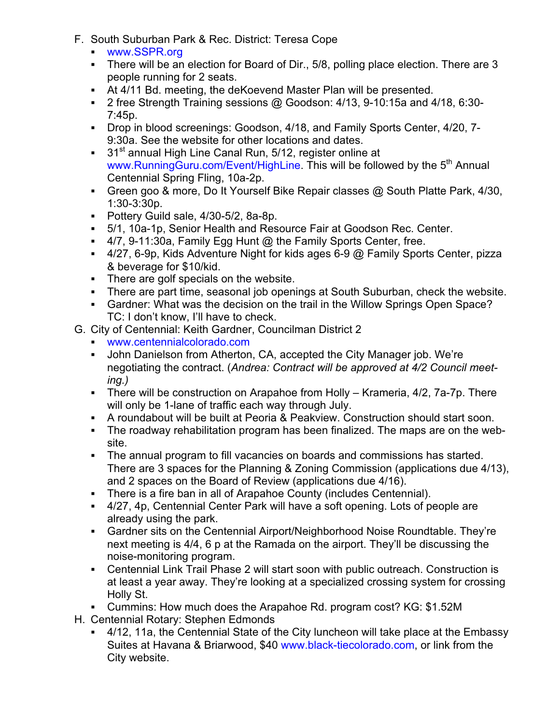- F. South Suburban Park & Rec. District: Teresa Cope
	- ! www.SSPR.org
	- ! There will be an election for Board of Dir., 5/8, polling place election. There are 3 people running for 2 seats.
	- ! At 4/11 Bd. meeting, the deKoevend Master Plan will be presented.
	- ! 2 free Strength Training sessions @ Goodson: 4/13, 9-10:15a and 4/18, 6:30- 7:45p.
	- ! Drop in blood screenings: Goodson, 4/18, and Family Sports Center, 4/20, 7- 9:30a. See the website for other locations and dates.
	- $\cdot$  31<sup>st</sup> annual High Line Canal Run, 5/12, register online at www.RunningGuru.com/Event/HighLine. This will be followed by the 5<sup>th</sup> Annual Centennial Spring Fling, 10a-2p.
	- ! Green goo & more, Do It Yourself Bike Repair classes @ South Platte Park, 4/30, 1:30-3:30p.
	- ! Pottery Guild sale, 4/30-5/2, 8a-8p.
	- ! 5/1, 10a-1p, Senior Health and Resource Fair at Goodson Rec. Center.
	- $\blacksquare$  4/7, 9-11:30a, Family Egg Hunt  $@$  the Family Sports Center, free.
	- $\blacksquare$  4/27, 6-9p, Kids Adventure Night for kids ages 6-9  $@$  Family Sports Center, pizza & beverage for \$10/kid.
	- ! There are golf specials on the website.
	- ! There are part time, seasonal job openings at South Suburban, check the website.
	- ! Gardner: What was the decision on the trail in the Willow Springs Open Space? TC: I don't know, I'll have to check.
- G. City of Centennial: Keith Gardner, Councilman District 2
	- ! www.centennialcolorado.com
	- ! John Danielson from Atherton, CA, accepted the City Manager job. We're negotiating the contract. (*Andrea: Contract will be approved at 4/2 Council meeting.)*
	- ! There will be construction on Arapahoe from Holly Krameria, 4/2, 7a-7p. There will only be 1-lane of traffic each way through July.
	- ! A roundabout will be built at Peoria & Peakview. Construction should start soon.
	- ! The roadway rehabilitation program has been finalized. The maps are on the website.
	- ! The annual program to fill vacancies on boards and commissions has started. There are 3 spaces for the Planning & Zoning Commission (applications due 4/13), and 2 spaces on the Board of Review (applications due 4/16).
	- ! There is a fire ban in all of Arapahoe County (includes Centennial).
	- ! 4/27, 4p, Centennial Center Park will have a soft opening. Lots of people are already using the park.
	- ! Gardner sits on the Centennial Airport/Neighborhood Noise Roundtable. They're next meeting is 4/4, 6 p at the Ramada on the airport. They'll be discussing the noise-monitoring program.
	- ! Centennial Link Trail Phase 2 will start soon with public outreach. Construction is at least a year away. They're looking at a specialized crossing system for crossing Holly St.
	- ! Cummins: How much does the Arapahoe Rd. program cost? KG: \$1.52M
- H. Centennial Rotary: Stephen Edmonds
	- ! 4/12, 11a, the Centennial State of the City luncheon will take place at the Embassy Suites at Havana & Briarwood, \$40 www.black-tiecolorado.com, or link from the City website.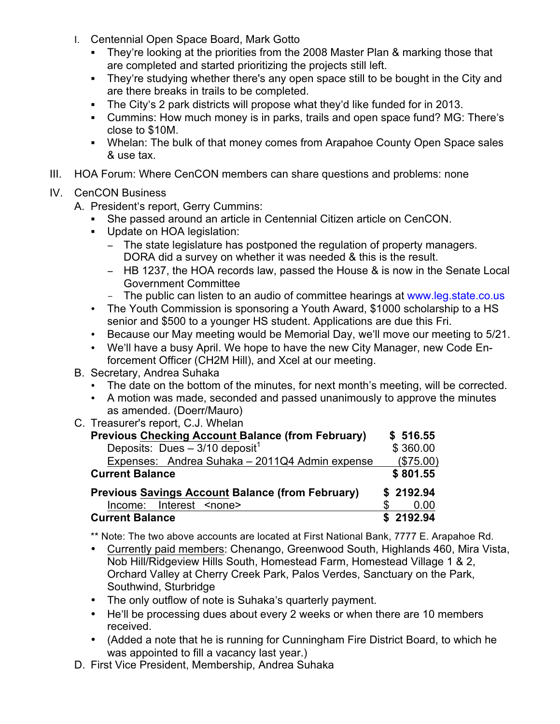- I. Centennial Open Space Board, Mark Gotto
	- ! They're looking at the priorities from the 2008 Master Plan & marking those that are completed and started prioritizing the projects still left.
	- ! They're studying whether there's any open space still to be bought in the City and are there breaks in trails to be completed.
	- ! The City's 2 park districts will propose what they'd like funded for in 2013.
	- ! Cummins: How much money is in parks, trails and open space fund? MG: There's close to \$10M.
	- ! Whelan: The bulk of that money comes from Arapahoe County Open Space sales & use tax.
- III. HOA Forum: Where CenCON members can share questions and problems: none
- IV. CenCON Business
	- A. President's report, Gerry Cummins:
		- ! She passed around an article in Centennial Citizen article on CenCON.
		- ! Update on HOA legislation:
			- The state legislature has postponed the regulation of property managers. DORA did a survey on whether it was needed & this is the result.
			- HB 1237, the HOA records law, passed the House & is now in the Senate Local Government Committee
			- The public can listen to an audio of committee hearings at www.leg.state.co.us
		- The Youth Commission is sponsoring a Youth Award, \$1000 scholarship to a HS senior and \$500 to a younger HS student. Applications are due this Fri.
		- Because our May meeting would be Memorial Day, we'll move our meeting to 5/21.
		- We'll have a busy April. We hope to have the new City Manager, new Code Enforcement Officer (CH2M Hill), and Xcel at our meeting.
	- B. Secretary, Andrea Suhaka
		- The date on the bottom of the minutes, for next month's meeting, will be corrected.
		- A motion was made, seconded and passed unanimously to approve the minutes as amended. (Doerr/Mauro)
	- C. Treasurer's report, C.J. Whelan

| <b>Previous Checking Account Balance (from February)</b> | \$516.55  |
|----------------------------------------------------------|-----------|
| Deposits: Dues $-3/10$ deposit <sup>1</sup>              | \$360.00  |
| Expenses: Andrea Suhaka - 2011Q4 Admin expense           | (\$75.00) |
| <b>Current Balance</b>                                   | \$801.55  |
| <b>Previous Savings Account Balance (from February)</b>  | \$2192.94 |
| Income: Interest <none></none>                           | 0.00      |
| <b>Current Balance</b>                                   | \$2192.94 |

\*\* Note: The two above accounts are located at First National Bank, 7777 E. Arapahoe Rd.

- Currently paid members: Chenango, Greenwood South, Highlands 460, Mira Vista, Nob Hill/Ridgeview Hills South, Homestead Farm, Homestead Village 1 & 2, Orchard Valley at Cherry Creek Park, Palos Verdes, Sanctuary on the Park, Southwind, Sturbridge
- The only outflow of note is Suhaka's quarterly payment.
- He'll be processing dues about every 2 weeks or when there are 10 members received.
- (Added a note that he is running for Cunningham Fire District Board, to which he was appointed to fill a vacancy last year.)
- D. First Vice President, Membership, Andrea Suhaka